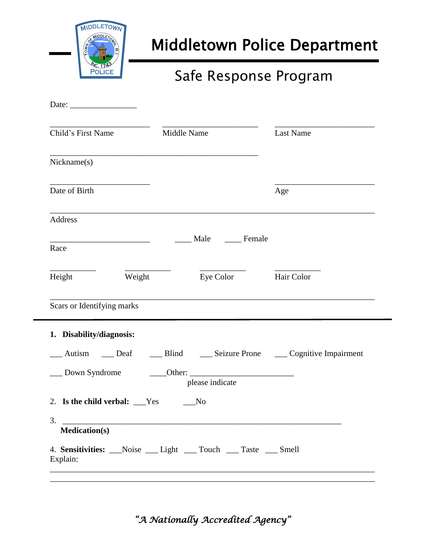

# Middletown Police Department

## Safe Response Program

| Date: $\frac{1}{\sqrt{1-\frac{1}{2}} \cdot \frac{1}{2}}$                                          |                                                                                                                                  |                  |
|---------------------------------------------------------------------------------------------------|----------------------------------------------------------------------------------------------------------------------------------|------------------|
| Child's First Name                                                                                | Middle Name                                                                                                                      | <b>Last Name</b> |
| Nickname(s)                                                                                       |                                                                                                                                  |                  |
| Date of Birth                                                                                     |                                                                                                                                  | Age              |
| Address                                                                                           |                                                                                                                                  |                  |
| the control of the control of the control of the control of the control of the control of<br>Race | Male Female                                                                                                                      |                  |
| Weight<br>Height                                                                                  | Eye Color                                                                                                                        | Hair Color       |
| Scars or Identifying marks                                                                        |                                                                                                                                  |                  |
| 1. Disability/diagnosis:                                                                          |                                                                                                                                  |                  |
| Autism ____ Deaf<br>__ Down Syndrome                                                              | __ Blind ______ Seizure Prone _______ Cognitive Impairment<br>$\overline{\phantom{iiiiiiiiiiiiiiiii}}$ Other:<br>please indicate |                  |
| 2. Is the child verbal: ___Yes                                                                    | No                                                                                                                               |                  |
| 3.<br><b>Medication(s)</b>                                                                        |                                                                                                                                  |                  |
| Explain:                                                                                          | 4. Sensitivities: Noise Light Touch Taste Smell                                                                                  |                  |
|                                                                                                   |                                                                                                                                  |                  |

*"A Nationally Accredited Agency"*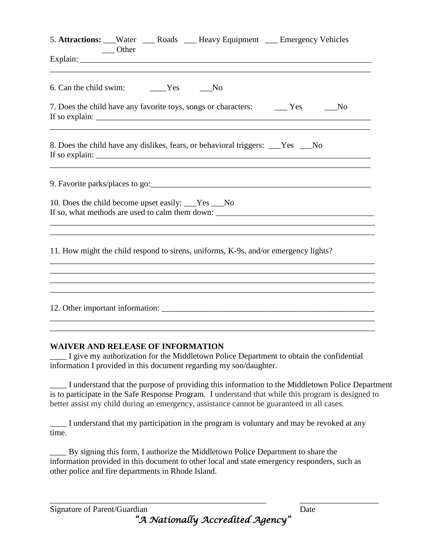|                                                      | Other |                                                                                     | 5. Attractions: __Water ___ Roads ___Heavy Equipment ___ Emergency Vehicles                                                                                                                                                                                                                                                                                                                                                                                                                                |
|------------------------------------------------------|-------|-------------------------------------------------------------------------------------|------------------------------------------------------------------------------------------------------------------------------------------------------------------------------------------------------------------------------------------------------------------------------------------------------------------------------------------------------------------------------------------------------------------------------------------------------------------------------------------------------------|
|                                                      |       |                                                                                     |                                                                                                                                                                                                                                                                                                                                                                                                                                                                                                            |
| 6. Can the child swim: _______Yes ______No           |       |                                                                                     |                                                                                                                                                                                                                                                                                                                                                                                                                                                                                                            |
|                                                      |       |                                                                                     | N <sub>0</sub>                                                                                                                                                                                                                                                                                                                                                                                                                                                                                             |
|                                                      |       | 8. Does the child have any dislikes, fears, or behavioral triggers: ___Yes ___No    | If so explain: $\frac{1}{\sqrt{1-\frac{1}{\sqrt{1-\frac{1}{\sqrt{1-\frac{1}{\sqrt{1-\frac{1}{\sqrt{1-\frac{1}{\sqrt{1-\frac{1}{\sqrt{1-\frac{1}{\sqrt{1-\frac{1}{\sqrt{1-\frac{1}{\sqrt{1-\frac{1}{\sqrt{1-\frac{1}{\sqrt{1-\frac{1}{\sqrt{1-\frac{1}{\sqrt{1-\frac{1}{\sqrt{1-\frac{1}{\sqrt{1-\frac{1}{\sqrt{1-\frac{1}{\sqrt{1-\frac{1}{\sqrt{1-\frac{1}{\sqrt{1-\frac{1}{\sqrt{1-\frac{1}{\sqrt{1-\frac{1}{\sqrt$<br>,我们也不能在这里的时候,我们也不能在这里的时候,我们也不能会在这里的时候,我们也不能会在这里的时候,我们也不能会在这里的时候,我们也不能会在这里的时候,我们也不 |
|                                                      |       |                                                                                     |                                                                                                                                                                                                                                                                                                                                                                                                                                                                                                            |
| 10. Does the child become upset easily: ___Yes ___No |       |                                                                                     |                                                                                                                                                                                                                                                                                                                                                                                                                                                                                                            |
|                                                      |       | 11. How might the child respond to sirens, uniforms, K-9s, and/or emergency lights? |                                                                                                                                                                                                                                                                                                                                                                                                                                                                                                            |
|                                                      |       |                                                                                     |                                                                                                                                                                                                                                                                                                                                                                                                                                                                                                            |
|                                                      |       |                                                                                     |                                                                                                                                                                                                                                                                                                                                                                                                                                                                                                            |
|                                                      |       |                                                                                     |                                                                                                                                                                                                                                                                                                                                                                                                                                                                                                            |

### **WAIVER AND RELEASE OF INFORMATION**

\_\_\_\_ I give my authorization for the Middletown Police Department to obtain the confidential information I provided in this document regarding my son/daughter.

\_\_\_\_ I understand that the purpose of providing this information to the Middletown Police Department is to participate in the Safe Response Program. I understand that while this program is designed to better assist my child during an emergency, assistance cannot be guaranteed in all cases.

\_\_\_\_ I understand that my participation in the program is voluntary and may be revoked at any time.

By signing this form, I authorize the Middletown Police Department to share the information provided in this document to other local and state emergency responders, such as other police and fire departments in Rhode Island.

*"A Nationally Accredited Agency"* 

\_\_\_\_\_\_\_\_\_\_\_\_\_\_\_\_\_\_\_\_\_\_\_\_\_\_\_\_\_\_\_\_\_\_\_\_\_\_\_\_\_\_\_\_\_\_\_\_\_\_\_\_ \_\_\_\_\_\_\_\_\_\_\_\_\_\_\_\_\_\_\_